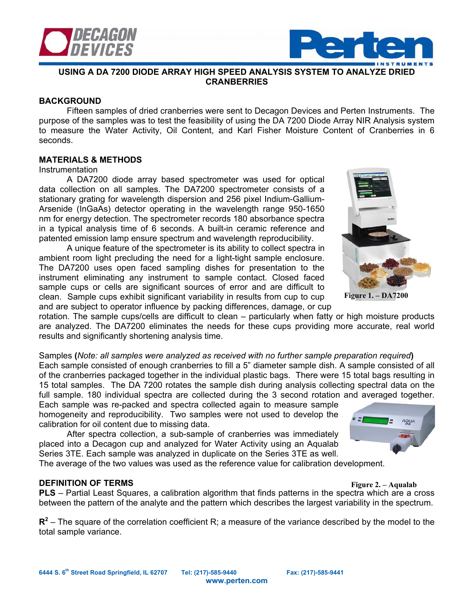



## **USING A DA 7200 DIODE ARRAY HIGH SPEED ANALYSIS SYSTEM TO ANALYZE DRIED CRANBERRIES**

#### **BACKGROUND**

Fifteen samples of dried cranberries were sent to Decagon Devices and Perten Instruments. The purpose of the samples was to test the feasibility of using the DA 7200 Diode Array NIR Analysis system to measure the Water Activity, Oil Content, and Karl Fisher Moisture Content of Cranberries in 6 seconds.

#### **MATERIALS & METHODS**

**Instrumentation** 

A DA7200 diode array based spectrometer was used for optical data collection on all samples. The DA7200 spectrometer consists of a stationary grating for wavelength dispersion and 256 pixel Indium-Gallium-Arsenide (InGaAs) detector operating in the wavelength range 950-1650 nm for energy detection. The spectrometer records 180 absorbance spectra in a typical analysis time of 6 seconds. A built-in ceramic reference and patented emission lamp ensure spectrum and wavelength reproducibility.

A unique feature of the spectrometer is its ability to collect spectra in ambient room light precluding the need for a light-tight sample enclosure. The DA7200 uses open faced sampling dishes for presentation to the instrument eliminating any instrument to sample contact. Closed faced sample cups or cells are significant sources of error and are difficult to clean. Sample cups exhibit significant variability in results from cup to cup and are subject to operator influence by packing differences, damage, or cup



**Figure 1. – DA7200**

rotation. The sample cups/cells are difficult to clean – particularly when fatty or high moisture products are analyzed. The DA7200 eliminates the needs for these cups providing more accurate, real world results and significantly shortening analysis time.

## Samples **(***Note: all samples were analyzed as received with no further sample preparation required***)**

Each sample consisted of enough cranberries to fill a 5" diameter sample dish. A sample consisted of all of the cranberries packaged together in the individual plastic bags. There were 15 total bags resulting in 15 total samples. The DA 7200 rotates the sample dish during analysis collecting spectral data on the full sample. 180 individual spectra are collected during the 3 second rotation and averaged together.

Each sample was re-packed and spectra collected again to measure sample homogeneity and reproducibility. Two samples were not used to develop the calibration for oil content due to missing data.

After spectra collection, a sub-sample of cranberries was immediately placed into a Decagon cup and analyzed for Water Activity using an Aqualab Series 3TE. Each sample was analyzed in duplicate on the Series 3TE as well.

The average of the two values was used as the reference value for calibration development.

#### **DEFINITION OF TERMS**

**PLS** – Partial Least Squares, a calibration algorithm that finds patterns in the spectra which are a cross between the pattern of the analyte and the pattern which describes the largest variability in the spectrum. **Figure 2. – Aqualab**

 $R^2$  – The square of the correlation coefficient R; a measure of the variance described by the model to the total sample variance.

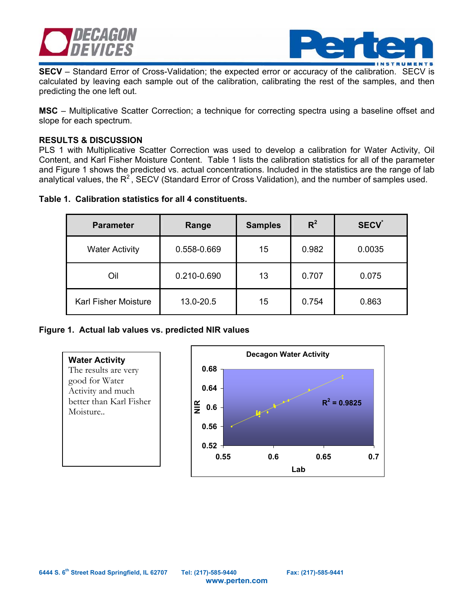



**SECV** – Standard Error of Cross-Validation; the expected error or accuracy of the calibration. SECV is calculated by leaving each sample out of the calibration, calibrating the rest of the samples, and then predicting the one left out.

**MSC** – Multiplicative Scatter Correction; a technique for correcting spectra using a baseline offset and slope for each spectrum.

## **RESULTS & DISCUSSION**

PLS 1 with Multiplicative Scatter Correction was used to develop a calibration for Water Activity, Oil Content, and Karl Fisher Moisture Content. Table 1 lists the calibration statistics for all of the parameter and Figure 1 shows the predicted vs. actual concentrations. Included in the statistics are the range of lab analytical values, the  $R^2$ , SECV (Standard Error of Cross Validation), and the number of samples used.

|  |  |  |  | Table 1. Calibration statistics for all 4 constituents. |
|--|--|--|--|---------------------------------------------------------|
|--|--|--|--|---------------------------------------------------------|

| <b>Parameter</b>            | Range       | <b>Samples</b> | $R^2$ | <b>SECV</b> |
|-----------------------------|-------------|----------------|-------|-------------|
| <b>Water Activity</b>       | 0.558-0.669 | 15             | 0.982 | 0.0035      |
| Oil                         | 0.210-0.690 | 13             | 0.707 | 0.075       |
| <b>Karl Fisher Moisture</b> | 13.0-20.5   | 15             | 0.754 | 0.863       |

## **Figure 1. Actual lab values vs. predicted NIR values**